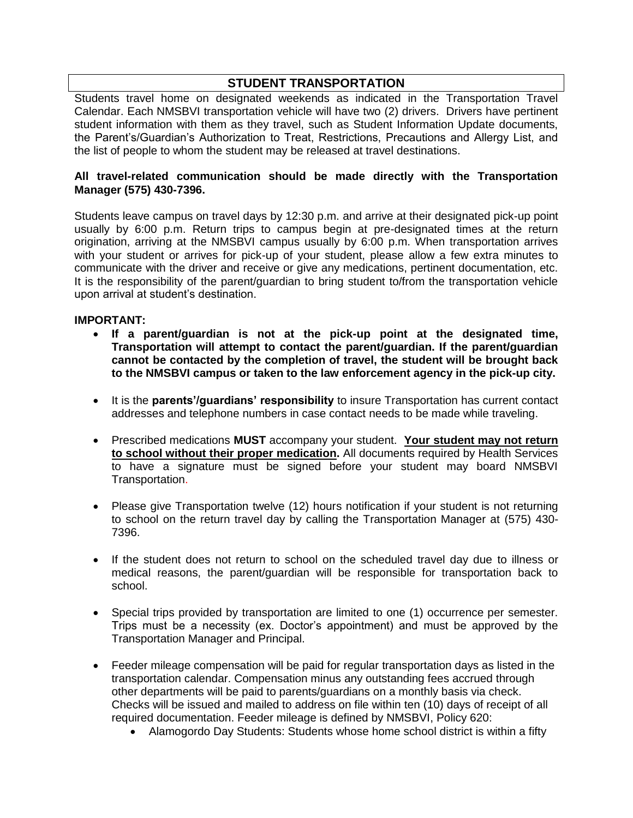## **STUDENT TRANSPORTATION**

Students travel home on designated weekends as indicated in the Transportation Travel Calendar. Each NMSBVI transportation vehicle will have two (2) drivers. Drivers have pertinent student information with them as they travel, such as Student Information Update documents, the Parent's/Guardian's Authorization to Treat, Restrictions, Precautions and Allergy List, and the list of people to whom the student may be released at travel destinations.

#### **All travel-related communication should be made directly with the Transportation Manager (575) 430-7396.**

Students leave campus on travel days by 12:30 p.m. and arrive at their designated pick-up point usually by 6:00 p.m. Return trips to campus begin at pre-designated times at the return origination, arriving at the NMSBVI campus usually by 6:00 p.m. When transportation arrives with your student or arrives for pick-up of your student, please allow a few extra minutes to communicate with the driver and receive or give any medications, pertinent documentation, etc. It is the responsibility of the parent/guardian to bring student to/from the transportation vehicle upon arrival at student's destination.

#### **IMPORTANT:**

- **If a parent/guardian is not at the pick-up point at the designated time, Transportation will attempt to contact the parent/guardian. If the parent/guardian cannot be contacted by the completion of travel, the student will be brought back to the NMSBVI campus or taken to the law enforcement agency in the pick-up city.**
- It is the **parents'/guardians' responsibility** to insure Transportation has current contact addresses and telephone numbers in case contact needs to be made while traveling.
- Prescribed medications **MUST** accompany your student. **Your student may not return to school without their proper medication.** All documents required by Health Services to have a signature must be signed before your student may board NMSBVI Transportation.
- Please give Transportation twelve (12) hours notification if your student is not returning to school on the return travel day by calling the Transportation Manager at (575) 430- 7396.
- If the student does not return to school on the scheduled travel day due to illness or medical reasons, the parent/guardian will be responsible for transportation back to school.
- Special trips provided by transportation are limited to one (1) occurrence per semester. Trips must be a necessity (ex. Doctor's appointment) and must be approved by the Transportation Manager and Principal.
- Feeder mileage compensation will be paid for regular transportation days as listed in the transportation calendar. Compensation minus any outstanding fees accrued through other departments will be paid to parents/guardians on a monthly basis via check. Checks will be issued and mailed to address on file within ten (10) days of receipt of all required documentation. Feeder mileage is defined by NMSBVI, Policy 620:
	- Alamogordo Day Students: Students whose home school district is within a fifty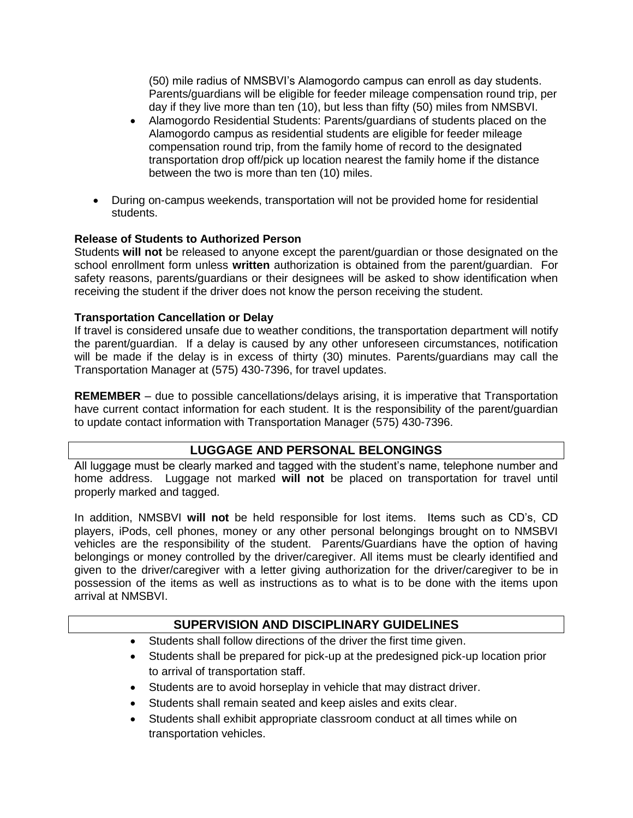(50) mile radius of NMSBVI's Alamogordo campus can enroll as day students. Parents/guardians will be eligible for feeder mileage compensation round trip, per day if they live more than ten (10), but less than fifty (50) miles from NMSBVI.

- Alamogordo Residential Students: Parents/guardians of students placed on the Alamogordo campus as residential students are eligible for feeder mileage compensation round trip, from the family home of record to the designated transportation drop off/pick up location nearest the family home if the distance between the two is more than ten (10) miles.
- During on-campus weekends, transportation will not be provided home for residential students.

#### **Release of Students to Authorized Person**

Students **will not** be released to anyone except the parent/guardian or those designated on the school enrollment form unless **written** authorization is obtained from the parent/guardian. For safety reasons, parents/guardians or their designees will be asked to show identification when receiving the student if the driver does not know the person receiving the student.

#### **Transportation Cancellation or Delay**

If travel is considered unsafe due to weather conditions, the transportation department will notify the parent/guardian. If a delay is caused by any other unforeseen circumstances, notification will be made if the delay is in excess of thirty (30) minutes. Parents/guardians may call the Transportation Manager at (575) 430-7396, for travel updates.

**REMEMBER** – due to possible cancellations/delays arising, it is imperative that Transportation have current contact information for each student. It is the responsibility of the parent/guardian to update contact information with Transportation Manager (575) 430-7396.

## **LUGGAGE AND PERSONAL BELONGINGS**

All luggage must be clearly marked and tagged with the student's name, telephone number and home address. Luggage not marked **will not** be placed on transportation for travel until properly marked and tagged.

In addition, NMSBVI **will not** be held responsible for lost items. Items such as CD's, CD players, iPods, cell phones, money or any other personal belongings brought on to NMSBVI vehicles are the responsibility of the student. Parents/Guardians have the option of having belongings or money controlled by the driver/caregiver. All items must be clearly identified and given to the driver/caregiver with a letter giving authorization for the driver/caregiver to be in possession of the items as well as instructions as to what is to be done with the items upon arrival at NMSBVI.

### **SUPERVISION AND DISCIPLINARY GUIDELINES**

- Students shall follow directions of the driver the first time given.
- Students shall be prepared for pick-up at the predesigned pick-up location prior to arrival of transportation staff.
- Students are to avoid horseplay in vehicle that may distract driver.
- Students shall remain seated and keep aisles and exits clear.
- Students shall exhibit appropriate classroom conduct at all times while on transportation vehicles.